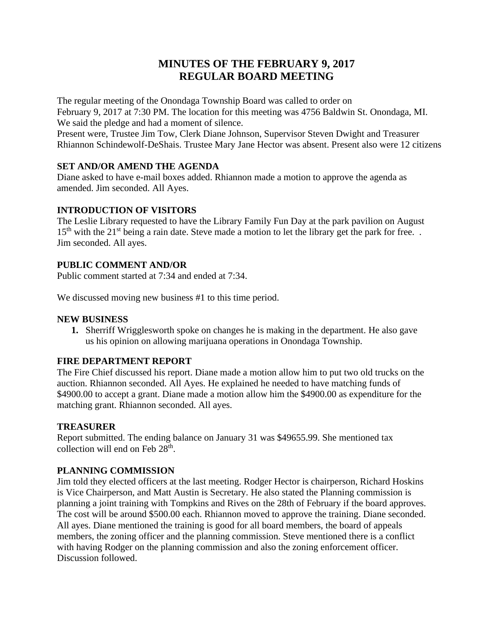# **MINUTES OF THE FEBRUARY 9, 2017 REGULAR BOARD MEETING**

The regular meeting of the Onondaga Township Board was called to order on February 9, 2017 at 7:30 PM. The location for this meeting was 4756 Baldwin St. Onondaga, MI. We said the pledge and had a moment of silence.

Present were, Trustee Jim Tow, Clerk Diane Johnson, Supervisor Steven Dwight and Treasurer Rhiannon Schindewolf-DeShais. Trustee Mary Jane Hector was absent. Present also were 12 citizens

# **SET AND/OR AMEND THE AGENDA**

Diane asked to have e-mail boxes added. Rhiannon made a motion to approve the agenda as amended. Jim seconded. All Ayes.

## **INTRODUCTION OF VISITORS**

The Leslie Library requested to have the Library Family Fun Day at the park pavilion on August  $15<sup>th</sup>$  with the 21<sup>st</sup> being a rain date. Steve made a motion to let the library get the park for free. Jim seconded. All ayes.

## **PUBLIC COMMENT AND/OR**

Public comment started at 7:34 and ended at 7:34.

We discussed moving new business #1 to this time period.

#### **NEW BUSINESS**

**1.** Sherriff Wrigglesworth spoke on changes he is making in the department. He also gave us his opinion on allowing marijuana operations in Onondaga Township.

# **FIRE DEPARTMENT REPORT**

The Fire Chief discussed his report. Diane made a motion allow him to put two old trucks on the auction. Rhiannon seconded. All Ayes. He explained he needed to have matching funds of \$4900.00 to accept a grant. Diane made a motion allow him the \$4900.00 as expenditure for the matching grant. Rhiannon seconded. All ayes.

#### **TREASURER**

Report submitted. The ending balance on January 31 was \$49655.99. She mentioned tax collection will end on Feb 28<sup>th</sup>.

# **PLANNING COMMISSION**

Jim told they elected officers at the last meeting. Rodger Hector is chairperson, Richard Hoskins is Vice Chairperson, and Matt Austin is Secretary. He also stated the Planning commission is planning a joint training with Tompkins and Rives on the 28th of February if the board approves. The cost will be around \$500.00 each. Rhiannon moved to approve the training. Diane seconded. All ayes. Diane mentioned the training is good for all board members, the board of appeals members, the zoning officer and the planning commission. Steve mentioned there is a conflict with having Rodger on the planning commission and also the zoning enforcement officer. Discussion followed.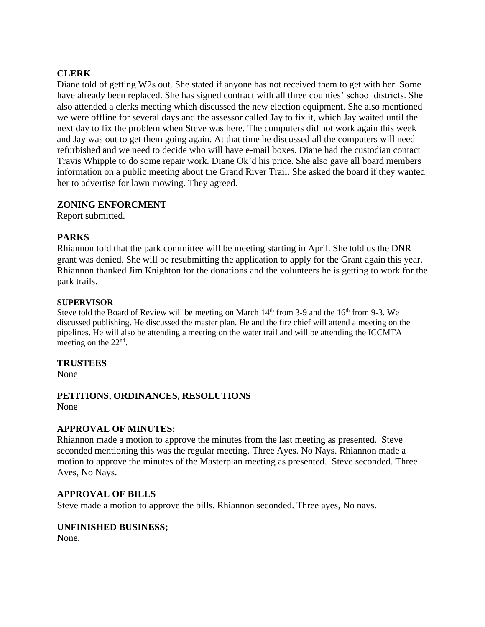## **CLERK**

Diane told of getting W2s out. She stated if anyone has not received them to get with her. Some have already been replaced. She has signed contract with all three counties' school districts. She also attended a clerks meeting which discussed the new election equipment. She also mentioned we were offline for several days and the assessor called Jay to fix it, which Jay waited until the next day to fix the problem when Steve was here. The computers did not work again this week and Jay was out to get them going again. At that time he discussed all the computers will need refurbished and we need to decide who will have e-mail boxes. Diane had the custodian contact Travis Whipple to do some repair work. Diane Ok'd his price. She also gave all board members information on a public meeting about the Grand River Trail. She asked the board if they wanted her to advertise for lawn mowing. They agreed.

#### **ZONING ENFORCMENT**

Report submitted.

## **PARKS**

Rhiannon told that the park committee will be meeting starting in April. She told us the DNR grant was denied. She will be resubmitting the application to apply for the Grant again this year. Rhiannon thanked Jim Knighton for the donations and the volunteers he is getting to work for the park trails.

#### **SUPERVISOR**

Steve told the Board of Review will be meeting on March  $14<sup>th</sup>$  from 3-9 and the  $16<sup>th</sup>$  from 9-3. We discussed publishing. He discussed the master plan. He and the fire chief will attend a meeting on the pipelines. He will also be attending a meeting on the water trail and will be attending the ICCMTA meeting on the  $22<sup>nd</sup>$ .

#### **TRUSTEES**

None

#### **PETITIONS, ORDINANCES, RESOLUTIONS** None

# **APPROVAL OF MINUTES:**

Rhiannon made a motion to approve the minutes from the last meeting as presented. Steve seconded mentioning this was the regular meeting. Three Ayes. No Nays. Rhiannon made a motion to approve the minutes of the Masterplan meeting as presented. Steve seconded. Three Ayes, No Nays.

#### **APPROVAL OF BILLS**

Steve made a motion to approve the bills. Rhiannon seconded. Three ayes, No nays.

#### **UNFINISHED BUSINESS;**

None.